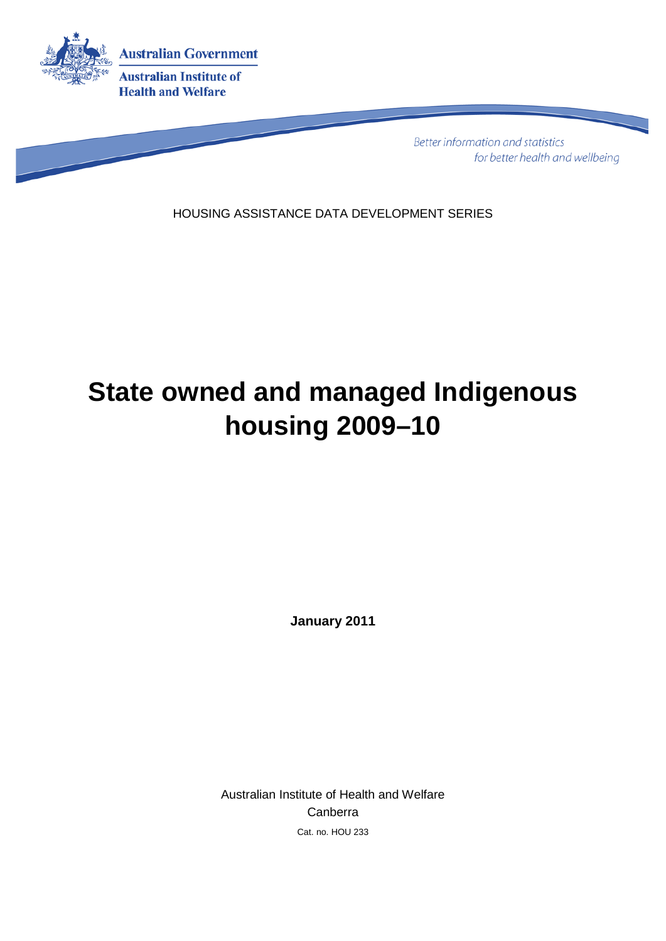

**Better information and statistics** for better health and wellbeing

HOUSING ASSISTANCE DATA DEVELOPMENT SERIES

# **State owned and managed Indigenous housing 2009–10**

**January 2011**

<span id="page-0-0"></span>Australian Institute of Health and Welfare Canberra Cat. no. HOU 233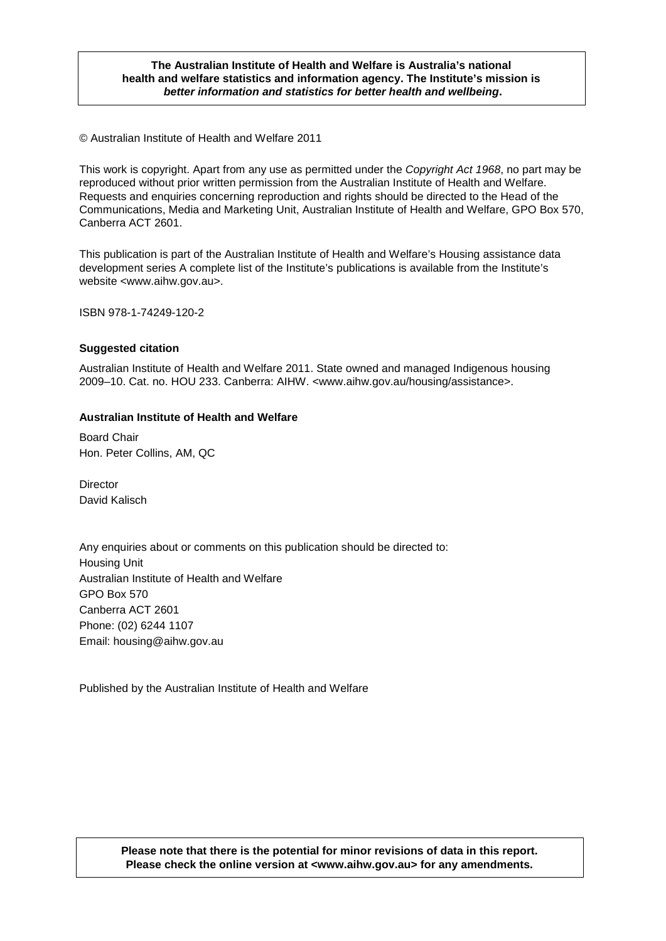### *better information and statistics for better health and wellbeing.* **The Australian Institute of Health and Welfare is Australia's national health and welfare statistics and information agency. The Institute's mission is**

© Australian Institute of Health and Welfare 2011

This work is copyright. Apart from any use as permitted under the *Copyright Act 1968*, no part may be reproduced without prior written permission from the Australian Institute of Health and Welfare. Requests and enquiries concerning reproduction and rights should be directed to the Head of the Communications, Media and Marketing Unit, Australian Institute of Health and Welfare, GPO Box 570, Canberra ACT 2601.

This publication is part of the Australian Institute of Health and Welfare's Housing assistance data development series A complete list of the Institute's publications is available from the Institute's website <www.aihw.gov.au>.

ISBN 978-1-74249-120-2

#### **Suggested citation**

Australian Institute of Health and Welfare 2011. State owned and managed Indigenous housing 2009–10. Cat. no. HOU 233. Canberra: AIHW. <www.aihw.gov.au/housing/assistance>.

### **Australian Institute of Health and Welfare**

Board Chair Hon. Peter Collins, AM, QC

**Director** David Kalisch

Any enquiries about or comments on this publication should be directed to: Housing Unit Australian Institute of Health and Welfare GPO Box 570 Canberra ACT 2601 Phone: (02) 6244 1107 Email: housing@aihw.gov.au

Published by the Australian Institute of Health and Welfare

#### **Please note that there is the potential for minor revisions of data in this report. Please check the online version at <www.aihw.gov.au> for any amendments.**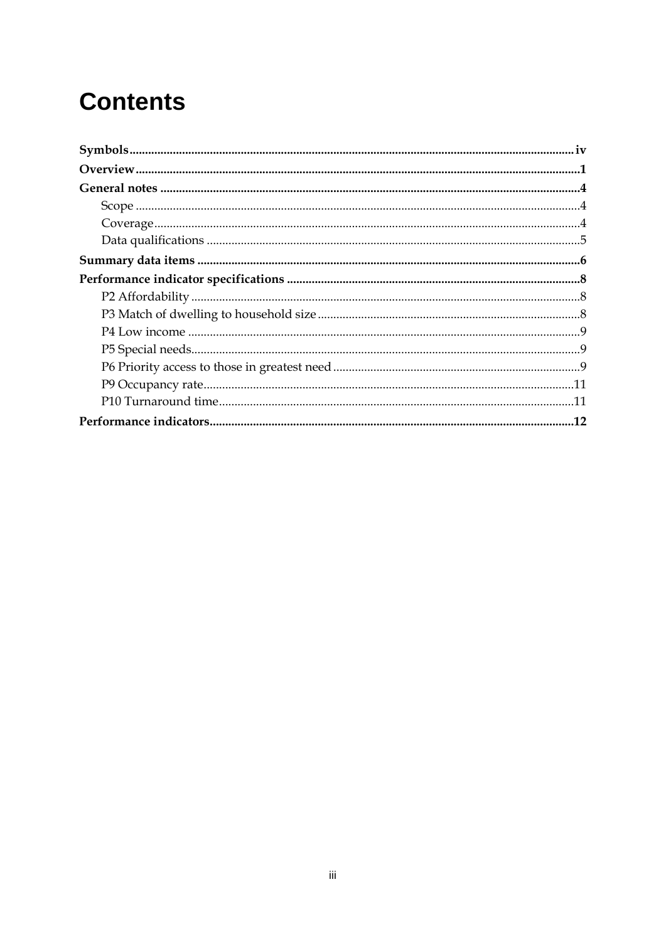## **Contents**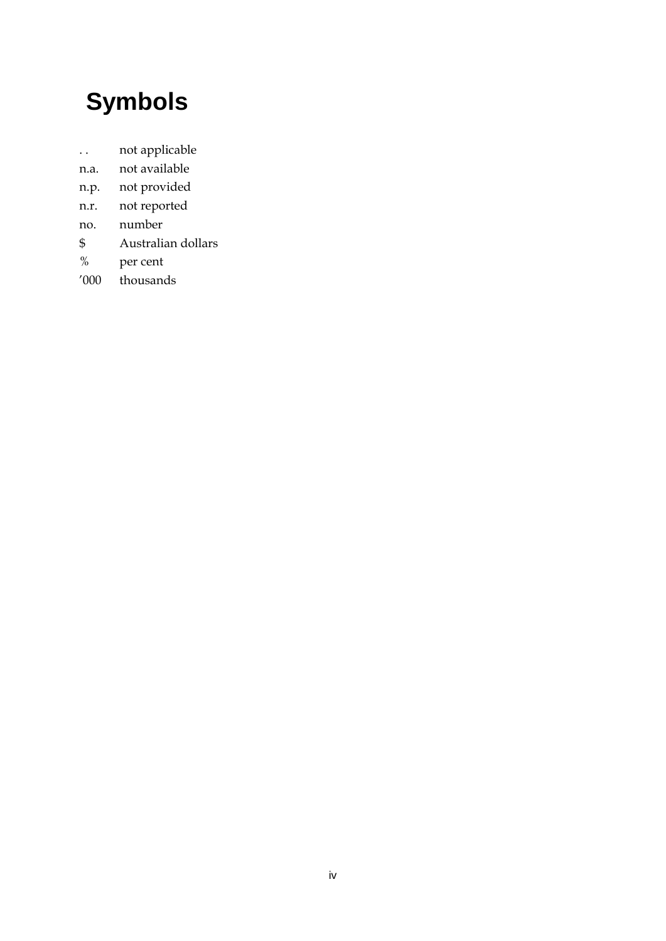# **Symbols**

- . . not applicable
- n.a. not available
- n.p. not provided
- n.r. not reported
- no. number
- \$ Australian dollars
- % per cent
- '000 thousands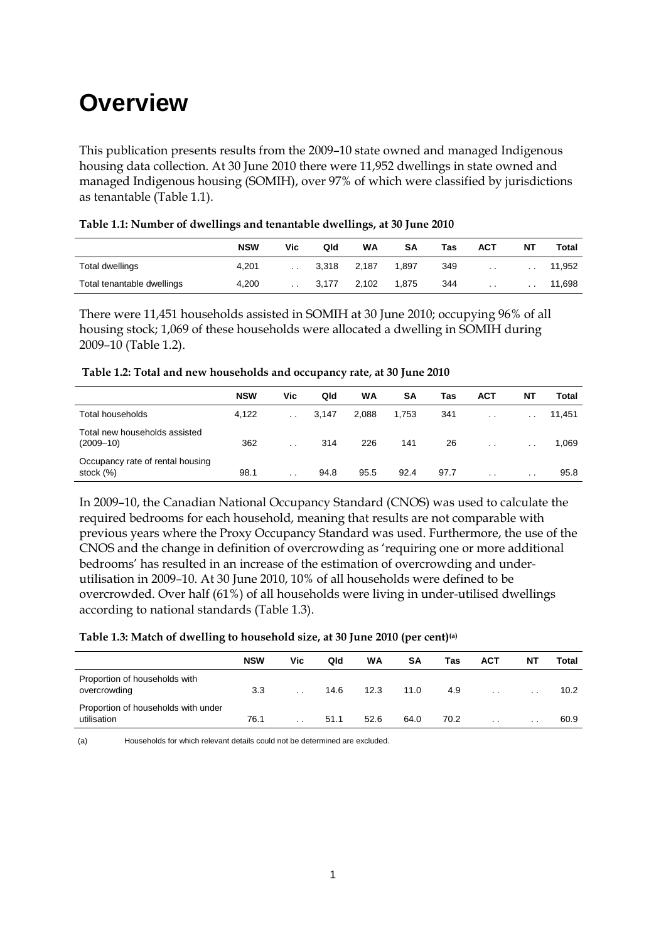## **Overview**

This publication presents results from the 2009–10 state owned and managed Indigenous housing data collection. At 30 June 2010 there were 11,952 dwellings in state owned and managed Indigenous housing (SOMIH), over 97% of which were classified by jurisdictions as tenantable (Table 1.1).

|                            | <b>NSW</b> | Vic             | Qld   | WA    | <b>SA</b> | Tas | АСТ             | <b>NT</b>       | Total  |
|----------------------------|------------|-----------------|-------|-------|-----------|-----|-----------------|-----------------|--------|
| Total dwellings            | 4,201      | $\sim$ $\sim$   | 3.318 | 2,187 | 1.897     | 349 | $\sim$ $\sim$   | . .             | 11,952 |
| Total tenantable dwellings | 4.200      | $\cdot$ $\cdot$ | 3.177 | 2.102 | 1.875     | 344 | $\cdot$ $\cdot$ | $\cdot$ $\cdot$ | 11,698 |

|  | Table 1.1: Number of dwellings and tenantable dwellings, at 30 June 2010 |  |
|--|--------------------------------------------------------------------------|--|
|  |                                                                          |  |

There were 11,451 households assisted in SOMIH at 30 June 2010; occupying 96% of all housing stock; 1,069 of these households were allocated a dwelling in SOMIH during 2009–10 (Table 1.2).

| Table 1.2: Total and new households and occupancy rate, at 30 June 2010 |  |
|-------------------------------------------------------------------------|--|
|-------------------------------------------------------------------------|--|

|                                                  | <b>NSW</b> | Vic             | Qld   | WA    | SΑ    | Tas  | ACT       | ΝT              | Total  |
|--------------------------------------------------|------------|-----------------|-------|-------|-------|------|-----------|-----------------|--------|
| <b>Total households</b>                          | 4,122      | $\cdot$ $\cdot$ | 3.147 | 2.088 | 1.753 | 341  | $\cdot$ . | $\cdot$ $\cdot$ | 11,451 |
| Total new households assisted<br>$(2009 - 10)$   | 362        | $\cdot$ .       | 314   | 226   | 141   | 26   | $\sim$    | $\sim$ $\sim$   | 1,069  |
| Occupancy rate of rental housing<br>stock $(\%)$ | 98.1       | $\cdot$ $\cdot$ | 94.8  | 95.5  | 92.4  | 97.7 | $\cdot$ . | $\cdot$ .       | 95.8   |

In 2009–10, the Canadian National Occupancy Standard (CNOS) was used to calculate the required bedrooms for each household, meaning that results are not comparable with previous years where the Proxy Occupancy Standard was used. Furthermore, the use of the CNOS and the change in definition of overcrowding as 'requiring one or more additional bedrooms' has resulted in an increase of the estimation of overcrowding and underutilisation in 2009–10. At 30 June 2010, 10% of all households were defined to be overcrowded. Over half (61%) of all households were living in under-utilised dwellings according to national standards (Table 1.3).

#### **Table 1.3: Match of dwelling to household size, at 30 June 2010 (per cent)(a)**

|                                                    | <b>NSW</b> | Vic. | Qld  | WA   | SΑ   | Tas  | <b>ACT</b>      | ΝT              | Total             |
|----------------------------------------------------|------------|------|------|------|------|------|-----------------|-----------------|-------------------|
| Proportion of households with<br>overcrowding      | 3.3        |      | 14.6 | 12.3 | 11.0 | 4.9  | $\cdot$ $\cdot$ | $\cdot$ .       | 10.2 <sub>1</sub> |
| Proportion of households with under<br>utilisation | 76.1       |      | 51.1 | 52.6 | 64.0 | 70.2 | $\cdot$ .       | $\cdot$ $\cdot$ | 60.9              |

(a) Households for which relevant details could not be determined are excluded.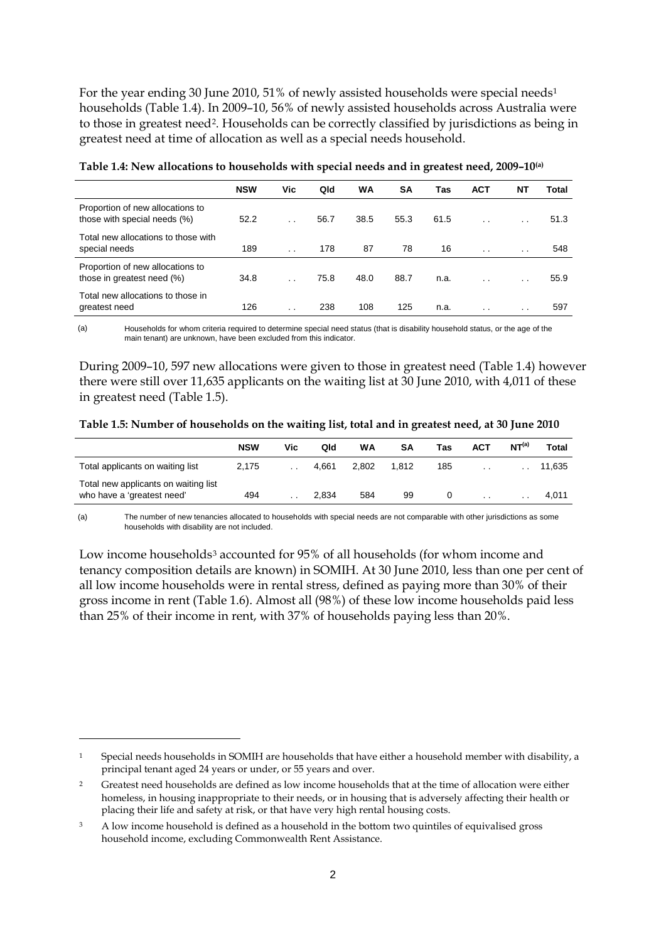For the year ending 30 June 20[1](#page-0-0)0, 51% of newly assisted households were special needs<sup>1</sup> households (Table 1.4). In 2009–10, 56% of newly assisted households across Australia were to those in greatest need<sup>[2](#page-5-0)</sup>. Households can be correctly classified by jurisdictions as being in greatest need at time of allocation as well as a special needs household.

|                                                                  | <b>NSW</b> | Vic                  | Qld  | WA   | SA   | Tas  | <b>ACT</b>      | ΝT        | Total |
|------------------------------------------------------------------|------------|----------------------|------|------|------|------|-----------------|-----------|-------|
| Proportion of new allocations to<br>those with special needs (%) | 52.2       | $\cdot$ .            | 56.7 | 38.5 | 55.3 | 61.5 | $\cdot$ .       | $\cdot$ . | 51.3  |
| Total new allocations to those with<br>special needs             | 189        | $\cdot$ .            | 178  | 87   | 78   | 16   | $\cdot$ $\cdot$ | $\cdot$ . | 548   |
| Proportion of new allocations to<br>those in greatest need (%)   | 34.8       | $\ddot{\phantom{0}}$ | 75.8 | 48.0 | 88.7 | n.a. | $\cdot$ .       | $\cdot$ . | 55.9  |
| Total new allocations to those in<br>greatest need               | 126        | $\cdot$ .            | 238  | 108  | 125  | n.a. |                 | . .       | 597   |

**Table 1.4: New allocations to households with special needs and in greatest need, 2009–10(a)**

(a) Households for whom criteria required to determine special need status (that is disability household status, or the age of the main tenant) are unknown, have been excluded from this indicator.

During 2009–10, 597 new allocations were given to those in greatest need (Table 1.4) however there were still over 11,635 applicants on the waiting list at 30 June 2010, with 4,011 of these in greatest need (Table 1.5).

|                                                                    | <b>NSW</b> | Vic             | Qld   | WA    | SΑ    | Tas | <b>ACT</b>      | NT <sup>(a)</sup> | Total  |
|--------------------------------------------------------------------|------------|-----------------|-------|-------|-------|-----|-----------------|-------------------|--------|
| Total applicants on waiting list                                   | 2.175      |                 | 4.661 | 2.802 | 1.812 | 185 | $\cdot$ $\cdot$ |                   | 11.635 |
| Total new applicants on waiting list<br>who have a 'greatest need' | 494        | $\cdot$ $\cdot$ | 2.834 | 584   | 99    | O   | $\cdot$ $\cdot$ | . .               | 4.011  |

(a) The number of new tenancies allocated to households with special needs are not comparable with other jurisdictions as some households with disability are not included.

Low income households<sup>[3](#page-5-1)</sup> accounted for 95% of all households (for whom income and tenancy composition details are known) in SOMIH. At 30 June 2010, less than one per cent of all low income households were in rental stress, defined as paying more than 30% of their gross income in rent (Table 1.6). Almost all (98%) of these low income households paid less than 25% of their income in rent, with 37% of households paying less than 20%.

<u>.</u>

Special needs households in SOMIH are households that have either a household member with disability, a principal tenant aged 24 years or under, or 55 years and over.

<span id="page-5-0"></span><sup>2</sup> Greatest need households are defined as low income households that at the time of allocation were either homeless, in housing inappropriate to their needs, or in housing that is adversely affecting their health or placing their life and safety at risk, or that have very high rental housing costs.

<span id="page-5-1"></span><sup>3</sup> A low income household is defined as a household in the bottom two quintiles of equivalised gross household income, excluding Commonwealth Rent Assistance.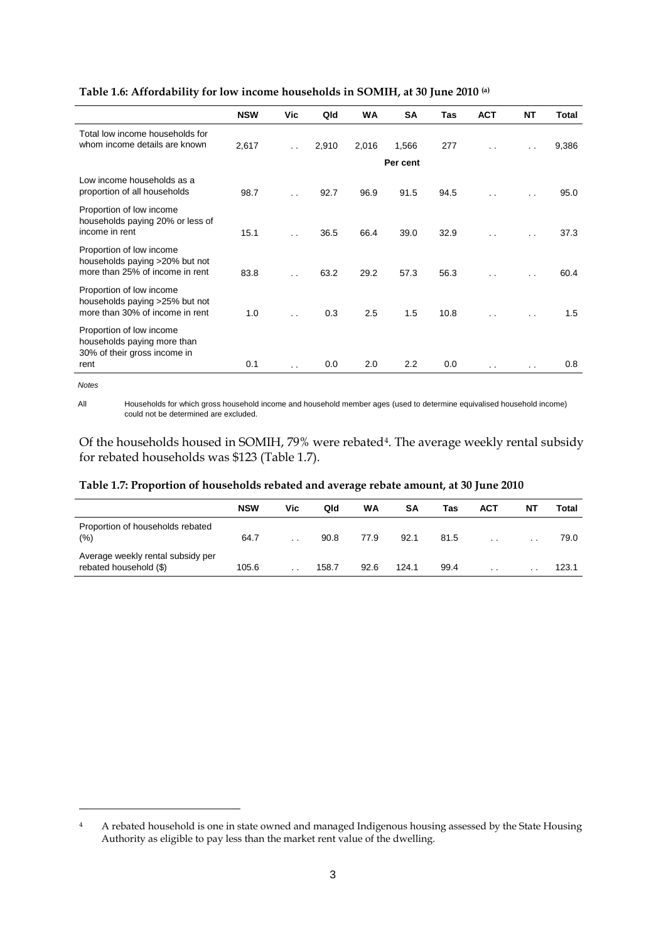|                                                                                                 | <b>NSW</b> | Vic                  | Qld   | <b>WA</b> | <b>SA</b> | <b>Tas</b> | <b>ACT</b>           | <b>NT</b>            | <b>Total</b> |
|-------------------------------------------------------------------------------------------------|------------|----------------------|-------|-----------|-----------|------------|----------------------|----------------------|--------------|
| Total low income households for<br>whom income details are known                                | 2,617      | $\ddot{\phantom{0}}$ | 2,910 | 2,016     | 1,566     | 277        | $\ddot{\phantom{0}}$ | $\ddot{\phantom{0}}$ | 9,386        |
|                                                                                                 |            |                      |       |           | Per cent  |            |                      |                      |              |
| Low income households as a<br>proportion of all households                                      | 98.7       | $\ddot{\phantom{0}}$ | 92.7  | 96.9      | 91.5      | 94.5       |                      | $\ddot{\phantom{0}}$ | 95.0         |
| Proportion of low income<br>households paying 20% or less of<br>income in rent                  | 15.1       | $\ddot{\phantom{0}}$ | 36.5  | 66.4      | 39.0      | 32.9       | $\ddot{\phantom{0}}$ | $\ddot{\phantom{0}}$ | 37.3         |
| Proportion of low income<br>households paying >20% but not<br>more than 25% of income in rent   | 83.8       | $\cdot$ .            | 63.2  | 29.2      | 57.3      | 56.3       |                      | . .                  | 60.4         |
| Proportion of low income<br>households paying >25% but not<br>more than 30% of income in rent   | 1.0        | $\ddot{\phantom{0}}$ | 0.3   | 2.5       | 1.5       | 10.8       | $\cdot$ .            | $\ddot{\phantom{0}}$ | 1.5          |
| Proportion of low income<br>households paying more than<br>30% of their gross income in<br>rent | 0.1        | . .                  | 0.0   | 2.0       | 2.2       | 0.0        | $\cdot$ .            | . .                  | 0.8          |

**Table 1.6: Affordability for low income households in SOMIH, at 30 June 2010 (a)**

*Notes*

-

All Households for which gross household income and household member ages (used to determine equivalised household income) could not be determined are excluded.

Of the households housed in SOMIH, 79% were rebated<sup>[4](#page-5-1)</sup>. The average weekly rental subsidy for rebated households was \$123 (Table 1.7).

|                                                             | <b>NSW</b> | Vic | Qld   | WA   | SΑ    | Tas  | ACT             | ΝT              | Total |
|-------------------------------------------------------------|------------|-----|-------|------|-------|------|-----------------|-----------------|-------|
| Proportion of households rebated<br>(%)                     | 64.7       |     | 90.8  | 77.9 | 92.1  | 81.5 | $\cdot$ $\cdot$ | $\cdot$ $\cdot$ | 79.0  |
| Average weekly rental subsidy per<br>rebated household (\$) | 105.6      | . . | 158.7 | 92.6 | 124.1 | 99.4 | $\cdot$ $\cdot$ | $\cdot$ $\cdot$ | 123.1 |

### **Table 1.7: Proportion of households rebated and average rebate amount, at 30 June 2010**

<sup>4</sup> A rebated household is one in state owned and managed Indigenous housing assessed by the State Housing Authority as eligible to pay less than the market rent value of the dwelling.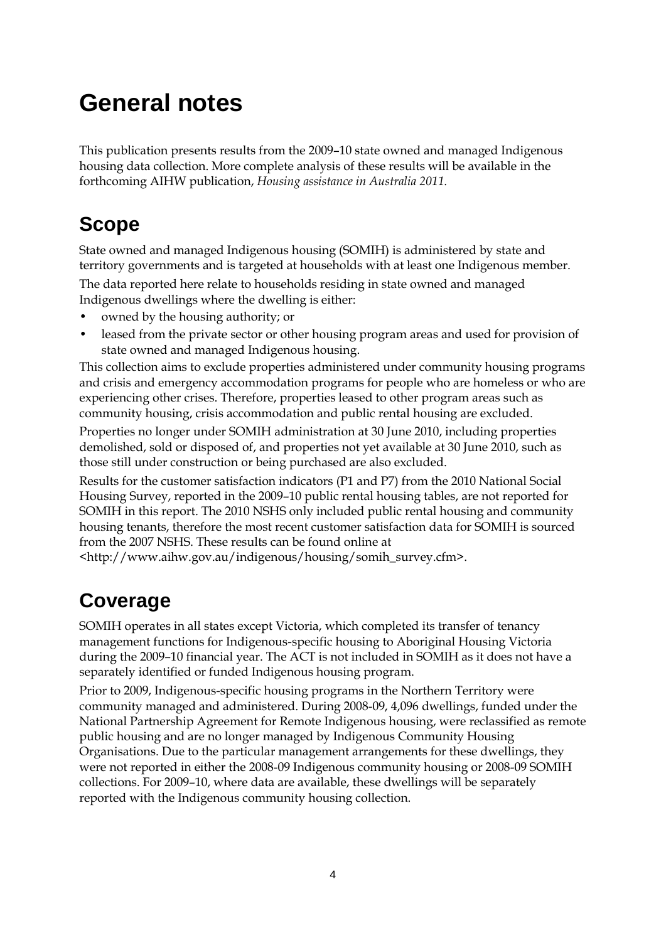# **General notes**

This publication presents results from the 2009–10 state owned and managed Indigenous housing data collection. More complete analysis of these results will be available in the forthcoming AIHW publication, *Housing assistance in Australia 2011.*

## **Scope**

State owned and managed Indigenous housing (SOMIH) is administered by state and territory governments and is targeted at households with at least one Indigenous member.

The data reported here relate to households residing in state owned and managed Indigenous dwellings where the dwelling is either:

- owned by the housing authority; or
- leased from the private sector or other housing program areas and used for provision of state owned and managed Indigenous housing.

This collection aims to exclude properties administered under community housing programs and crisis and emergency accommodation programs for people who are homeless or who are experiencing other crises. Therefore, properties leased to other program areas such as community housing, crisis accommodation and public rental housing are excluded.

Properties no longer under SOMIH administration at 30 June 2010, including properties demolished, sold or disposed of, and properties not yet available at 30 June 2010, such as those still under construction or being purchased are also excluded.

Results for the customer satisfaction indicators (P1 and P7) from the 2010 National Social Housing Survey, reported in the 2009–10 public rental housing tables, are not reported for SOMIH in this report. The 2010 NSHS only included public rental housing and community housing tenants, therefore the most recent customer satisfaction data for SOMIH is sourced from the 2007 NSHS. These results can be found online at

<http://www.aihw.gov.au/indigenous/housing/somih\_survey.cfm>.

## **Coverage**

SOMIH operates in all states except Victoria, which completed its transfer of tenancy management functions for Indigenous-specific housing to Aboriginal Housing Victoria during the 2009–10 financial year. The ACT is not included in SOMIH as it does not have a separately identified or funded Indigenous housing program.

Prior to 2009, Indigenous-specific housing programs in the Northern Territory were community managed and administered. During 2008-09, 4,096 dwellings, funded under the National Partnership Agreement for Remote Indigenous housing, were reclassified as remote public housing and are no longer managed by Indigenous Community Housing Organisations. Due to the particular management arrangements for these dwellings, they were not reported in either the 2008-09 Indigenous community housing or 2008-09 SOMIH collections. For 2009–10, where data are available, these dwellings will be separately reported with the Indigenous community housing collection.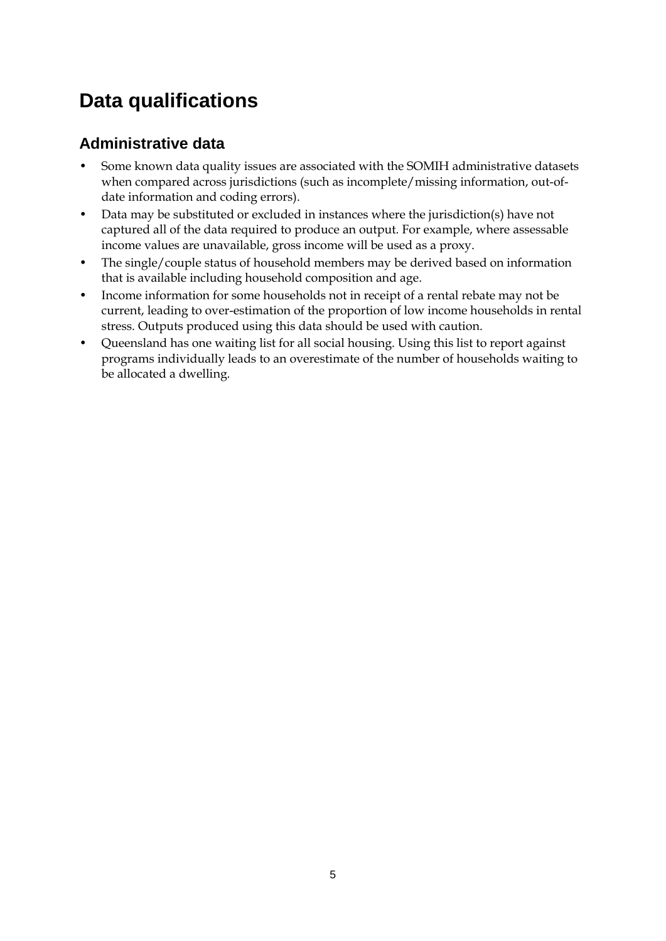## **Data qualifications**

### **Administrative data**

- Some known data quality issues are associated with the SOMIH administrative datasets when compared across jurisdictions (such as incomplete/missing information, out-ofdate information and coding errors).
- Data may be substituted or excluded in instances where the jurisdiction(s) have not captured all of the data required to produce an output. For example, where assessable income values are unavailable, gross income will be used as a proxy.
- The single/couple status of household members may be derived based on information that is available including household composition and age.
- Income information for some households not in receipt of a rental rebate may not be current, leading to over-estimation of the proportion of low income households in rental stress. Outputs produced using this data should be used with caution.
- Queensland has one waiting list for all social housing. Using this list to report against programs individually leads to an overestimate of the number of households waiting to be allocated a dwelling.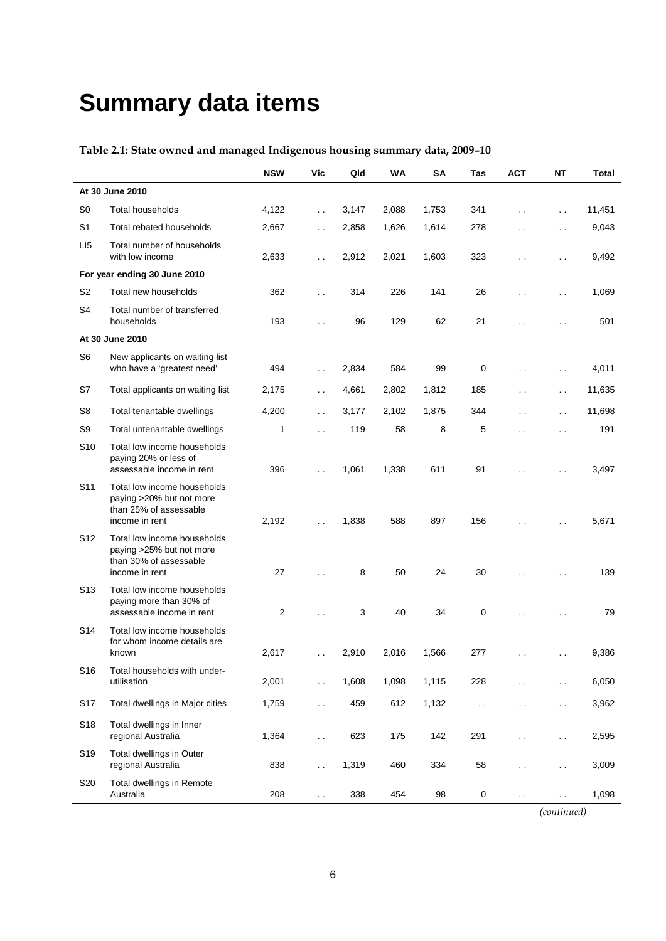# **Summary data items**

### **Table 2.1: State owned and managed Indigenous housing summary data, 2009–10**

|                 |                                                                                                     | <b>NSW</b> | <b>Vic</b>           | Qld   | <b>WA</b> | <b>SA</b> | <b>Tas</b> | <b>ACT</b>           | <b>NT</b>            | <b>Total</b> |
|-----------------|-----------------------------------------------------------------------------------------------------|------------|----------------------|-------|-----------|-----------|------------|----------------------|----------------------|--------------|
|                 | At 30 June 2010                                                                                     |            |                      |       |           |           |            |                      |                      |              |
| S <sub>0</sub>  | <b>Total households</b>                                                                             | 4,122      | $\ddot{\phantom{0}}$ | 3,147 | 2,088     | 1,753     | 341        | $\ddotsc$            | $\ddotsc$            | 11,451       |
| S <sub>1</sub>  | Total rebated households                                                                            | 2,667      | $\ddot{\phantom{0}}$ | 2,858 | 1,626     | 1,614     | 278        | $\ddot{\phantom{0}}$ | $\ddot{\phantom{0}}$ | 9,043        |
| LI <sub>5</sub> | Total number of households<br>with low income                                                       | 2,633      | $\ddot{\phantom{0}}$ | 2,912 | 2,021     | 1,603     | 323        | $\ddot{\phantom{0}}$ | $\ddot{\phantom{0}}$ | 9,492        |
|                 | For year ending 30 June 2010                                                                        |            |                      |       |           |           |            |                      |                      |              |
| S <sub>2</sub>  | Total new households                                                                                | 362        | $\ddotsc$            | 314   | 226       | 141       | 26         | $\ddot{\phantom{0}}$ | $\ddot{\phantom{0}}$ | 1,069        |
| S <sub>4</sub>  | Total number of transferred<br>households                                                           | 193        | $\ddot{\phantom{0}}$ | 96    | 129       | 62        | 21         | $\ddot{\phantom{0}}$ | $\ddot{\phantom{0}}$ | 501          |
|                 | At 30 June 2010                                                                                     |            |                      |       |           |           |            |                      |                      |              |
| S <sub>6</sub>  | New applicants on waiting list<br>who have a 'greatest need'                                        | 494        | $\ddotsc$            | 2,834 | 584       | 99        | 0          | $\ddot{\phantom{0}}$ | $\ddot{\phantom{0}}$ | 4,011        |
| S7              | Total applicants on waiting list                                                                    | 2,175      | $\ddotsc$            | 4,661 | 2,802     | 1,812     | 185        | . .                  | $\ddotsc$            | 11,635       |
| S <sub>8</sub>  | Total tenantable dwellings                                                                          | 4,200      | $\ddotsc$            | 3,177 | 2,102     | 1,875     | 344        | . .                  | $\ddot{\phantom{0}}$ | 11,698       |
| S9              | Total untenantable dwellings                                                                        | 1          | $\ddot{\phantom{a}}$ | 119   | 58        | 8         | 5          | $\ddot{\phantom{0}}$ | $\ddot{\phantom{0}}$ | 191          |
| S <sub>10</sub> | Total low income households<br>paying 20% or less of<br>assessable income in rent                   | 396        | $\ddot{\phantom{0}}$ | 1,061 | 1,338     | 611       | 91         | $\ddot{\phantom{0}}$ | $\ddot{\phantom{1}}$ | 3,497        |
| S <sub>11</sub> | Total low income households<br>paying >20% but not more<br>than 25% of assessable<br>income in rent | 2,192      | $\ddot{\phantom{0}}$ | 1,838 | 588       | 897       | 156        |                      |                      | 5,671        |
| S <sub>12</sub> | Total low income households<br>paying >25% but not more<br>than 30% of assessable<br>income in rent | 27         | $\ddot{\phantom{0}}$ | 8     | 50        | 24        | 30         | $\ddot{\phantom{0}}$ | $\ddot{\phantom{0}}$ | 139          |
| S <sub>13</sub> | Total low income households<br>paying more than 30% of<br>assessable income in rent                 | 2          | $\ddot{\phantom{0}}$ | 3     | 40        | 34        | 0          | $\ddot{\phantom{0}}$ |                      | 79           |
| S <sub>14</sub> | Total low income households<br>for whom income details are<br>known                                 | 2,617      | $\ddot{\phantom{0}}$ | 2,910 | 2,016     | 1,566     | 277        | $\ddot{\phantom{0}}$ | $\ddot{\phantom{0}}$ | 9,386        |
| S <sub>16</sub> | Total households with under-<br>utilisation                                                         | 2,001      |                      | 1,608 | 1,098     | 1,115     | 228        |                      | . .                  | 6,050        |
| S17             | Total dwellings in Major cities                                                                     | 1,759      | $\ddot{\phantom{0}}$ | 459   | 612       | 1,132     | $\sim$     | . .                  | $\ddot{\phantom{0}}$ | 3,962        |
| S18             | Total dwellings in Inner<br>regional Australia                                                      | 1,364      | $\sim$               | 623   | 175       | 142       | 291        | . .                  | $\ddot{\phantom{1}}$ | 2,595        |
| S <sub>19</sub> | Total dwellings in Outer<br>regional Australia                                                      | 838        | $\ddot{\phantom{0}}$ | 1,319 | 460       | 334       | 58         | $\ddot{\phantom{0}}$ | $\ddot{\phantom{1}}$ | 3,009        |
| S20             | Total dwellings in Remote<br>Australia                                                              | 208        | $\sim$               | 338   | 454       | 98        | 0          | $\sim$               | $\sim$ $\sim$        | 1,098        |

*(continued)*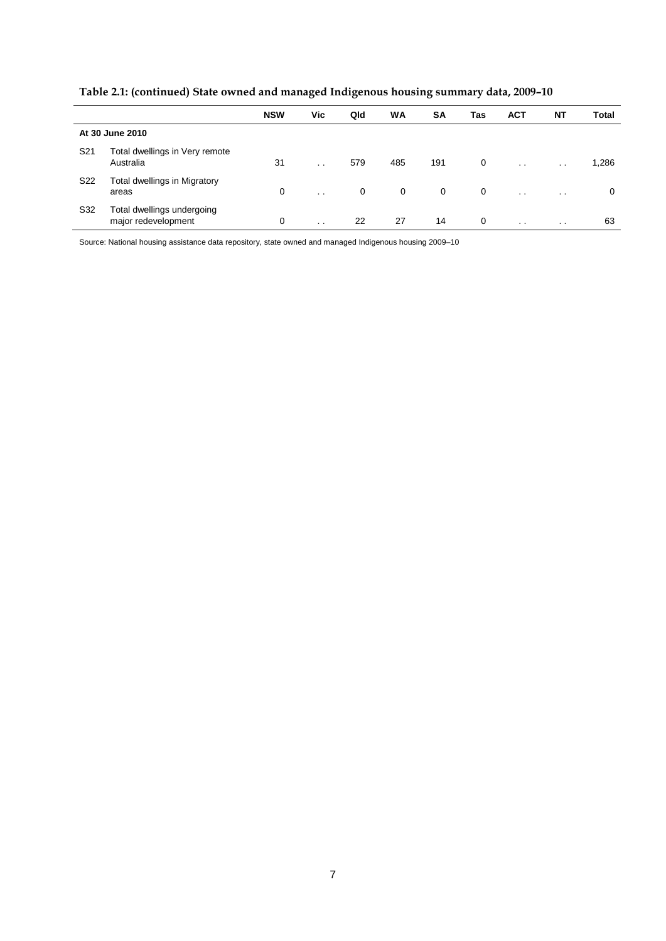| Table 2.1: (continued) State owned and managed Indigenous housing summary data, 2009-10 |  |  |  |  |
|-----------------------------------------------------------------------------------------|--|--|--|--|
|                                                                                         |  |  |  |  |

|                 |                                                   | <b>NSW</b> | Vic             | Qld | <b>WA</b>   | <b>SA</b> | Tas | <b>ACT</b>           | <b>NT</b>       | Total |
|-----------------|---------------------------------------------------|------------|-----------------|-----|-------------|-----------|-----|----------------------|-----------------|-------|
|                 | At 30 June 2010                                   |            |                 |     |             |           |     |                      |                 |       |
| S <sub>21</sub> | Total dwellings in Very remote<br>Australia       | 31         | $\cdot$ $\cdot$ | 579 | 485         | 191       | 0   | $\ddot{\phantom{0}}$ | $\cdot$ $\cdot$ | 1,286 |
| S <sub>22</sub> | Total dwellings in Migratory<br>areas             | 0          | $\cdot$ $\cdot$ | 0   | $\mathbf 0$ | 0         | 0   | $\ddot{\phantom{0}}$ | $\sim$          | 0     |
| S32             | Total dwellings undergoing<br>major redevelopment | 0          | $\cdot$ $\cdot$ | 22  | 27          | 14        | 0   | $\cdot$ $\cdot$      | $\cdot$ $\cdot$ | 63    |

Source: National housing assistance data repository, state owned and managed Indigenous housing 2009–10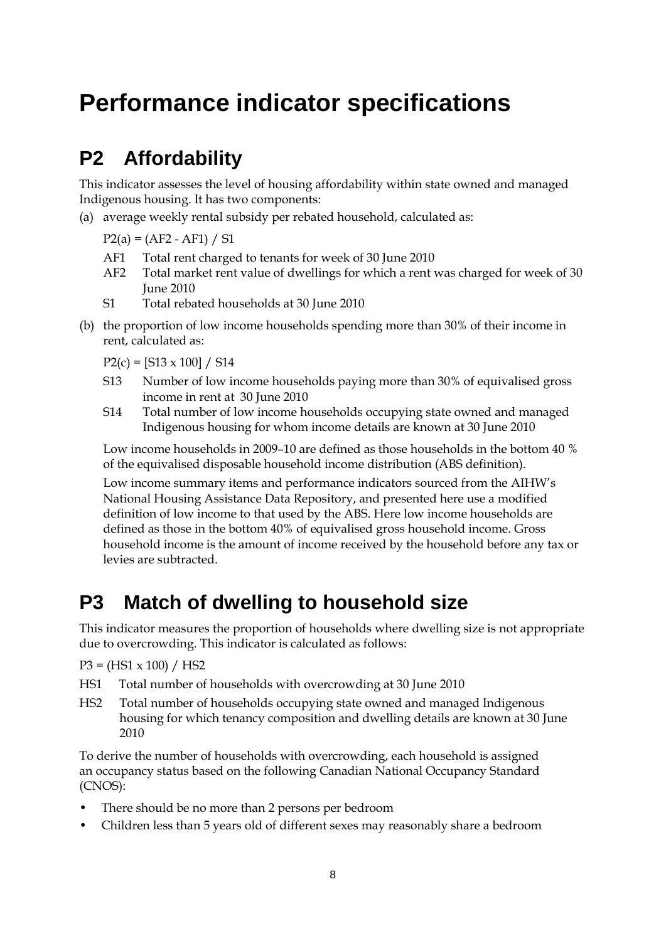## **Performance indicator specifications**

### **P2 Affordability**

This indicator assesses the level of housing affordability within state owned and managed Indigenous housing. It has two components:

(a) average weekly rental subsidy per rebated household, calculated as:

 $P2(a) = (AF2 - AF1) / SI$ 

- AF1 Total rent charged to tenants for week of 30 June 2010
- AF2 Total market rent value of dwellings for which a rent was charged for week of 30 June 2010
- S1 Total rebated households at 30 June 2010
- (b) the proportion of low income households spending more than 30% of their income in rent, calculated as:

 $P2(c) = [S13 \times 100] / S14$ 

- S13 Number of low income households paying more than 30% of equivalised gross income in rent at 30 June 2010
- S14 Total number of low income households occupying state owned and managed Indigenous housing for whom income details are known at 30 June 2010

Low income households in 2009–10 are defined as those households in the bottom 40 % of the equivalised disposable household income distribution (ABS definition).

Low income summary items and performance indicators sourced from the AIHW's National Housing Assistance Data Repository, and presented here use a modified definition of low income to that used by the ABS. Here low income households are defined as those in the bottom 40% of equivalised gross household income. Gross household income is the amount of income received by the household before any tax or levies are subtracted.

### **P3 Match of dwelling to household size**

This indicator measures the proportion of households where dwelling size is not appropriate due to overcrowding. This indicator is calculated as follows:

 $P3 = (HS1 \times 100) / HS2$ 

- HS1 Total number of households with overcrowding at 30 June 2010
- HS2 Total number of households occupying state owned and managed Indigenous housing for which tenancy composition and dwelling details are known at 30 June 2010

To derive the number of households with overcrowding, each household is assigned an occupancy status based on the following Canadian National Occupancy Standard (CNOS):

- There should be no more than 2 persons per bedroom
- Children less than 5 years old of different sexes may reasonably share a bedroom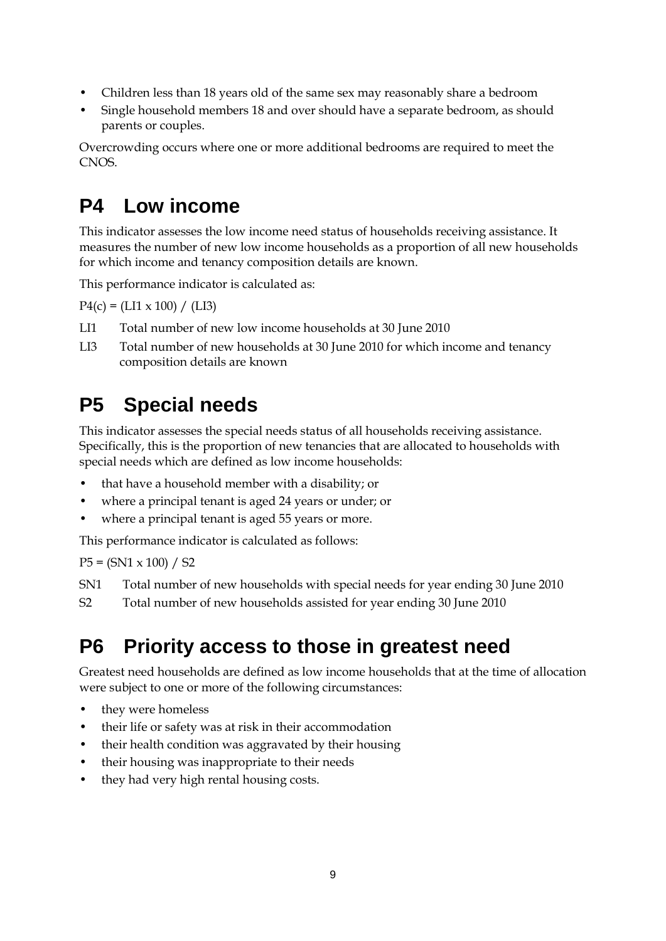- Children less than 18 years old of the same sex may reasonably share a bedroom
- Single household members 18 and over should have a separate bedroom, as should parents or couples.

Overcrowding occurs where one or more additional bedrooms are required to meet the CNOS.

### **P4 Low income**

This indicator assesses the low income need status of households receiving assistance. It measures the number of new low income households as a proportion of all new households for which income and tenancy composition details are known.

This performance indicator is calculated as:

 $P4(c) = (LI x 100) / (LI3)$ 

- LI1 Total number of new low income households at 30 June 2010
- LI3 Total number of new households at 30 June 2010 for which income and tenancy composition details are known

### **P5 Special needs**

This indicator assesses the special needs status of all households receiving assistance. Specifically, this is the proportion of new tenancies that are allocated to households with special needs which are defined as low income households:

- that have a household member with a disability; or
- where a principal tenant is aged 24 years or under; or
- where a principal tenant is aged 55 years or more.

This performance indicator is calculated as follows:

 $P5 = (SN1 \times 100) / S2$ 

- SN1 Total number of new households with special needs for year ending 30 June 2010
- S2 Total number of new households assisted for year ending 30 June 2010

### **P6 Priority access to those in greatest need**

Greatest need households are defined as low income households that at the time of allocation were subject to one or more of the following circumstances:

- they were homeless
- their life or safety was at risk in their accommodation
- their health condition was aggravated by their housing
- their housing was inappropriate to their needs
- they had very high rental housing costs.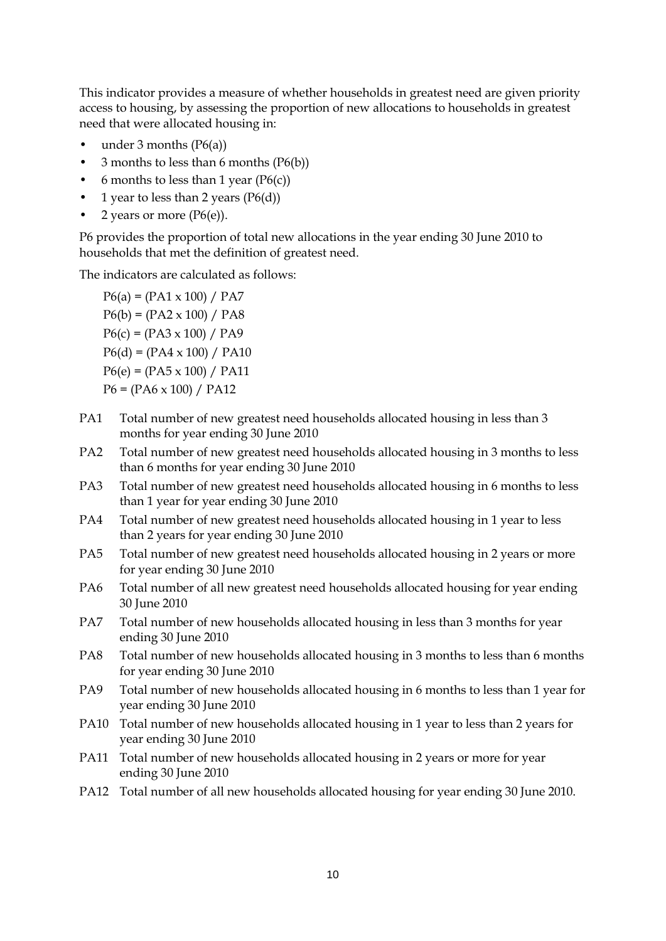This indicator provides a measure of whether households in greatest need are given priority access to housing, by assessing the proportion of new allocations to households in greatest need that were allocated housing in:

- under 3 months  $(P6(a))$
- $\frac{3}{5}$  months to less than 6 months (P6(b))
- 6 months to less than 1 year  $(P6(c))$
- 1 year to less than 2 years  $(P6(d))$
- 2 years or more  $(P6(e))$ .

P6 provides the proportion of total new allocations in the year ending 30 June 2010 to households that met the definition of greatest need.

The indicators are calculated as follows:

 $P6(a) = (PA1 \times 100) / PA7$  $P6(b) = (PA2 \times 100) / PA8$  $P6(c) = (PA3 \times 100) / PA9$  $P6(d) = (PA4 \times 100) / PA10$  $P6(e) = (PA5 \times 100) / PA11$  $P6 = (PA6 \times 100) / PA12$ 

- PA1 Total number of new greatest need households allocated housing in less than 3 months for year ending 30 June 2010
- PA2 Total number of new greatest need households allocated housing in 3 months to less than 6 months for year ending 30 June 2010
- PA3 Total number of new greatest need households allocated housing in 6 months to less than 1 year for year ending 30 June 2010
- PA4 Total number of new greatest need households allocated housing in 1 year to less than 2 years for year ending 30 June 2010
- PA5 Total number of new greatest need households allocated housing in 2 years or more for year ending 30 June 2010
- PA6 Total number of all new greatest need households allocated housing for year ending 30 June 2010
- PA7 Total number of new households allocated housing in less than 3 months for year ending 30 June 2010
- PA8 Total number of new households allocated housing in 3 months to less than 6 months for year ending 30 June 2010
- PA9 Total number of new households allocated housing in 6 months to less than 1 year for year ending 30 June 2010
- PA10 Total number of new households allocated housing in 1 year to less than 2 years for year ending 30 June 2010
- PA11 Total number of new households allocated housing in 2 years or more for year ending 30 June 2010
- PA12 Total number of all new households allocated housing for year ending 30 June 2010.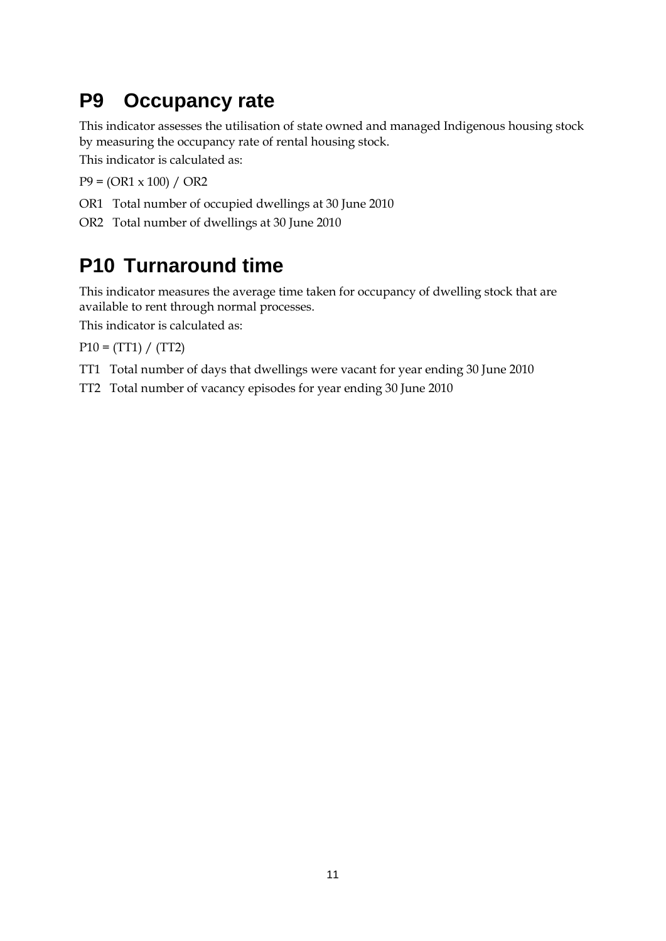### **P9 Occupancy rate**

This indicator assesses the utilisation of state owned and managed Indigenous housing stock by measuring the occupancy rate of rental housing stock.

This indicator is calculated as:

 $P9 = (OR1 \times 100) / OR2$ 

- OR1 Total number of occupied dwellings at 30 June 2010
- OR2 Total number of dwellings at 30 June 2010

### **P10 Turnaround time**

This indicator measures the average time taken for occupancy of dwelling stock that are available to rent through normal processes.

This indicator is calculated as:

 $P10 = (TT1) / (TT2)$ 

- TT1 Total number of days that dwellings were vacant for year ending 30 June 2010
- TT2 Total number of vacancy episodes for year ending 30 June 2010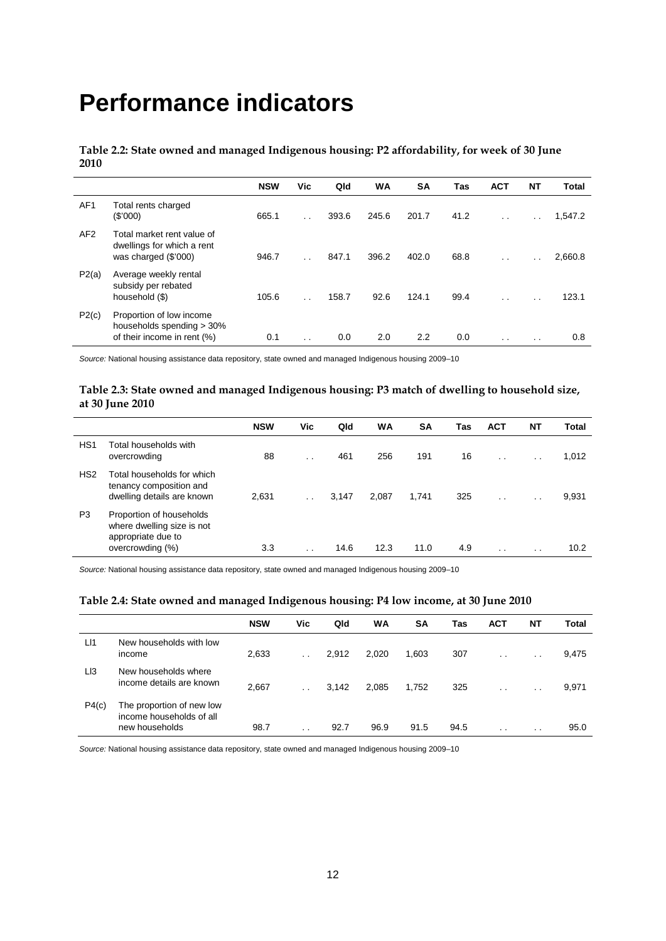## **Performance indicators**

**Table 2.2: State owned and managed Indigenous housing: P2 affordability, for week of 30 June 2010**

|                 |                                                                                      | <b>NSW</b> | Vic                  | Qld   | <b>WA</b> | SΑ    | Tas  | <b>ACT</b>           | NΤ                   | <b>Total</b> |
|-----------------|--------------------------------------------------------------------------------------|------------|----------------------|-------|-----------|-------|------|----------------------|----------------------|--------------|
| AF <sub>1</sub> | Total rents charged<br>(S'000)                                                       | 665.1      | $\ddot{\phantom{0}}$ | 393.6 | 245.6     | 201.7 | 41.2 | $\ddot{\phantom{0}}$ | $\ddot{\phantom{a}}$ | 1,547.2      |
| AF <sub>2</sub> | Total market rent value of<br>dwellings for which a rent<br>was charged (\$'000)     | 946.7      | $\ddot{\phantom{a}}$ | 847.1 | 396.2     | 402.0 | 68.8 | $\cdot$ .            | $\ddot{\phantom{0}}$ | 2,660.8      |
| P2(a)           | Average weekly rental<br>subsidy per rebated<br>household (\$)                       | 105.6      | $\ddot{\phantom{0}}$ | 158.7 | 92.6      | 124.1 | 99.4 | $\cdot$ .            | $\cdot$ .            | 123.1        |
| P2(c)           | Proportion of low income<br>households spending > 30%<br>of their income in rent (%) | 0.1        | $\cdot$ .            | 0.0   | 2.0       | 2.2   | 0.0  | $\cdot$ .            | $\cdot$ $\cdot$      | 0.8          |

*Source:* National housing assistance data repository, state owned and managed Indigenous housing 2009–10

#### **Table 2.3: State owned and managed Indigenous housing: P3 match of dwelling to household size, at 30 June 2010**

|                 |                                                                                     | <b>NSW</b> | Vic             | Qld   | WA    | <b>SA</b> | Tas | <b>ACT</b>      | NT        | Total |
|-----------------|-------------------------------------------------------------------------------------|------------|-----------------|-------|-------|-----------|-----|-----------------|-----------|-------|
| HS <sub>1</sub> | Total households with<br>overcrowding                                               | 88         | $\cdot$ .       | 461   | 256   | 191       | 16  | $\cdot$ $\cdot$ | $\cdot$ . | 1,012 |
| HS <sub>2</sub> | Total households for which<br>tenancy composition and<br>dwelling details are known | 2,631      |                 | 3,147 | 2,087 | 1.741     | 325 | $\cdot$ $\cdot$ | $\cdot$ . | 9,931 |
| P <sub>3</sub>  | Proportion of households<br>where dwelling size is not<br>appropriate due to        |            |                 |       |       |           |     |                 |           |       |
|                 | overcrowding (%)                                                                    | 3.3        | $\cdot$ $\cdot$ | 14.6  | 12.3  | 11.0      | 4.9 | $\cdot$ $\cdot$ | $\sim$    | 10.2  |

*Source:* National housing assistance data repository, state owned and managed Indigenous housing 2009–10

#### **Table 2.4: State owned and managed Indigenous housing: P4 low income, at 30 June 2010**

|                 |                                                                         | <b>NSW</b> | Vic       | Qld   | WA    | SΑ    | Tas  | <b>ACT</b> | <b>NT</b>       | Total |
|-----------------|-------------------------------------------------------------------------|------------|-----------|-------|-------|-------|------|------------|-----------------|-------|
| L11             | New households with low<br>income                                       | 2,633      |           | 2,912 | 2,020 | 1,603 | 307  | $\sim$     | $\cdot$ $\cdot$ | 9,475 |
| L <sub>13</sub> | New households where<br>income details are known                        | 2,667      |           | 3,142 | 2,085 | 1,752 | 325  | $\sim$     | $\cdot$ $\cdot$ | 9,971 |
| P4(c)           | The proportion of new low<br>income households of all<br>new households | 98.7       | $\cdot$ . | 92.7  | 96.9  | 91.5  | 94.5 | $\sim$     | $\cdot$ $\cdot$ | 95.0  |
|                 |                                                                         |            |           |       |       |       |      |            |                 |       |

*Source:* National housing assistance data repository, state owned and managed Indigenous housing 2009–10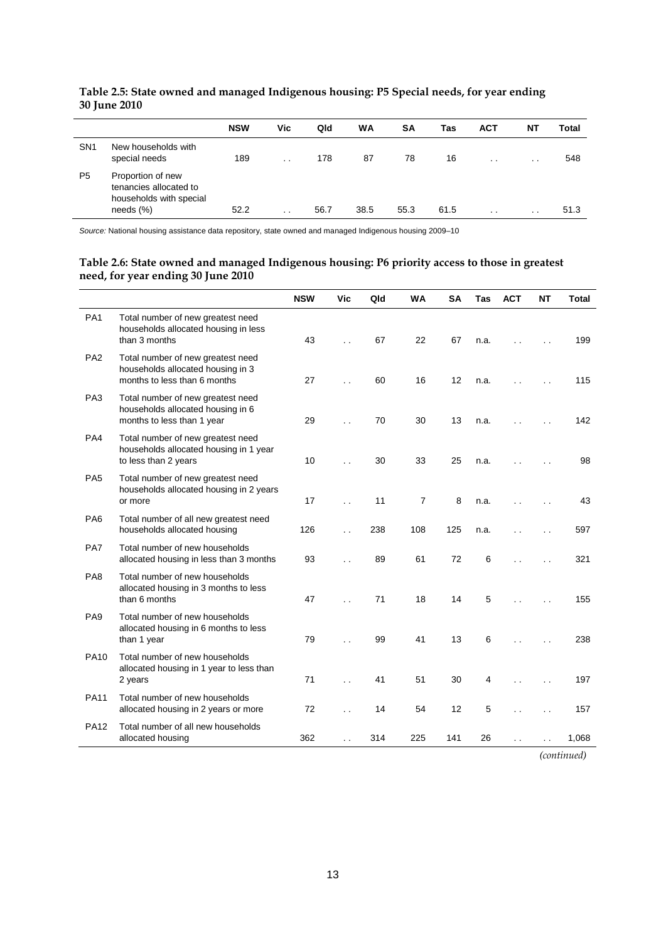|                 |                                                                                       | <b>NSW</b> | Vic                  | Qld  | WA   | <b>SA</b> | Tas  | <b>ACT</b>      | ΝI              | Total |
|-----------------|---------------------------------------------------------------------------------------|------------|----------------------|------|------|-----------|------|-----------------|-----------------|-------|
| SN <sub>1</sub> | New households with<br>special needs                                                  | 189        | $\ddot{\phantom{0}}$ | 178  | 87   | 78        | 16   | $\cdot$ $\cdot$ | $\cdot$ $\cdot$ | 548   |
| P <sub>5</sub>  | Proportion of new<br>tenancies allocated to<br>households with special<br>needs $(%)$ | 52.2       | $\sim$               | 56.7 | 38.5 | 55.3      | 61.5 | $\cdot$ $\cdot$ | $\cdot$ $\cdot$ | 51.3  |

### **Table 2.5: State owned and managed Indigenous housing: P5 Special needs, for year ending 30 June 2010**

*Source:* National housing assistance data repository, state owned and managed Indigenous housing 2009–10

#### **Table 2.6: State owned and managed Indigenous housing: P6 priority access to those in greatest need, for year ending 30 June 2010**

|                 |                                                                                                        | <b>NSW</b> | Vic                  | Qld | <b>WA</b>      | <b>SA</b> | <b>Tas</b> | <b>ACT</b>           | <b>NT</b> | <b>Total</b> |
|-----------------|--------------------------------------------------------------------------------------------------------|------------|----------------------|-----|----------------|-----------|------------|----------------------|-----------|--------------|
| PA <sub>1</sub> | Total number of new greatest need<br>households allocated housing in less<br>than 3 months             | 43         | $\ddot{\phantom{0}}$ | 67  | 22             | 67        | n.a.       | $\ddot{\phantom{0}}$ |           | 199          |
| PA <sub>2</sub> | Total number of new greatest need<br>households allocated housing in 3<br>months to less than 6 months | 27         | $\ddot{\phantom{0}}$ | 60  | 16             | 12        | n.a.       | . .                  |           | 115          |
| PA <sub>3</sub> | Total number of new greatest need<br>households allocated housing in 6<br>months to less than 1 year   | 29         | $\ddot{\phantom{0}}$ | 70  | 30             | 13        | n.a.       |                      |           | 142          |
| PA4             | Total number of new greatest need<br>households allocated housing in 1 year<br>to less than 2 years    | 10         |                      | 30  | 33             | 25        | n.a.       |                      |           | 98           |
| PA <sub>5</sub> | Total number of new greatest need<br>households allocated housing in 2 years<br>or more                | 17         | $\ddot{\phantom{a}}$ | 11  | $\overline{7}$ | 8         | n.a.       | $\ddot{\phantom{0}}$ |           | 43           |
| PA <sub>6</sub> | Total number of all new greatest need<br>households allocated housing                                  | 126        |                      | 238 | 108            | 125       | n.a.       | $\ddot{\phantom{1}}$ |           | 597          |
| PA7             | Total number of new households<br>allocated housing in less than 3 months                              | 93         |                      | 89  | 61             | 72        | 6          |                      |           | 321          |
| PA <sub>8</sub> | Total number of new households<br>allocated housing in 3 months to less<br>than 6 months               | 47         | $\ddot{\phantom{a}}$ | 71  | 18             | 14        | 5          |                      |           | 155          |
| PA <sub>9</sub> | Total number of new households<br>allocated housing in 6 months to less<br>than 1 year                 | 79         |                      | 99  | 41             | 13        | 6          |                      |           | 238          |
| <b>PA10</b>     | Total number of new households<br>allocated housing in 1 year to less than<br>2 years                  | 71         | $\ddot{\phantom{0}}$ | 41  | 51             | 30        | 4          |                      |           | 197          |
| <b>PA11</b>     | Total number of new households<br>allocated housing in 2 years or more                                 | 72         | $\ddot{\phantom{0}}$ | 14  | 54             | 12        | 5          |                      |           | 157          |
| <b>PA12</b>     | Total number of all new households<br>allocated housing                                                | 362        | $\ddot{\phantom{0}}$ | 314 | 225            | 141       | 26         | $\ddot{\phantom{0}}$ | . .       | 1,068        |

*(continued)*